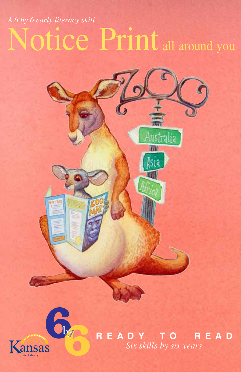## Notice Print all around you *A 6 by 6 early literacy skill*





**R E A D Y T O R E A D** *Six skills by six years*